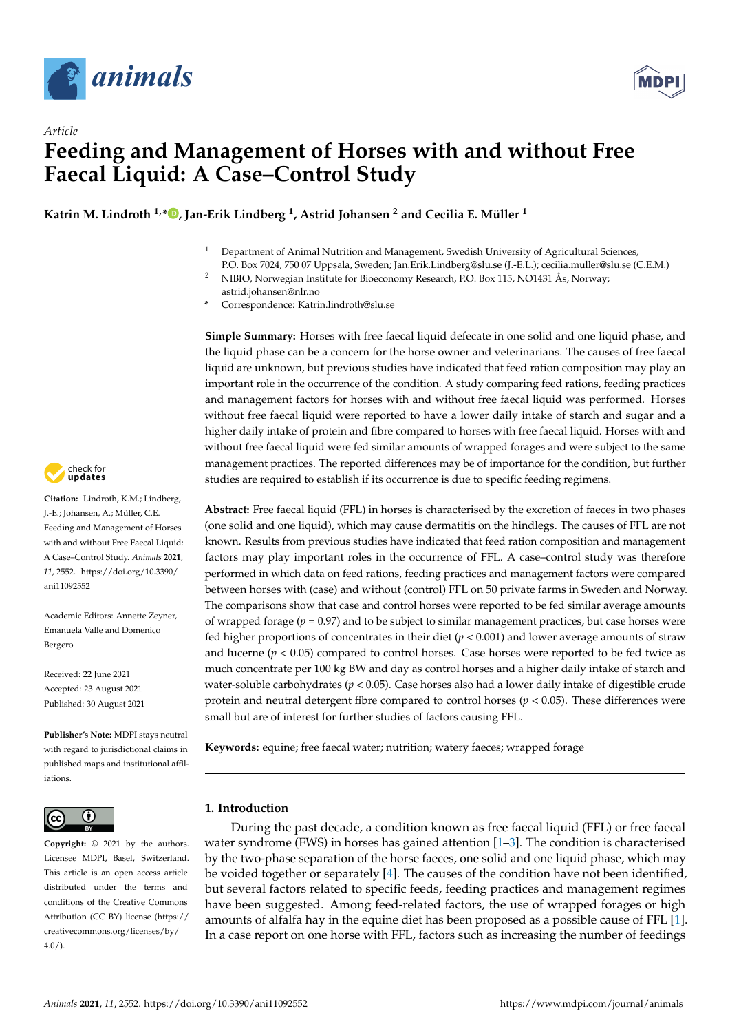



**Katrin M. Lindroth 1,\* [,](https://orcid.org/0000-0003-3641-6377) Jan-Erik Lindberg <sup>1</sup> , Astrid Johansen <sup>2</sup> and Cecilia E. Müller <sup>1</sup>**

- <sup>1</sup> Department of Animal Nutrition and Management, Swedish University of Agricultural Sciences,
- P.O. Box 7024, 750 07 Uppsala, Sweden; Jan.Erik.Lindberg@slu.se (J.-E.L.); cecilia.muller@slu.se (C.E.M.)
- <sup>2</sup> NIBIO, Norwegian Institute for Bioeconomy Research, P.O. Box 115, NO1431 Ås, Norway; astrid.johansen@nlr.no
- **\*** Correspondence: Katrin.lindroth@slu.se

**Simple Summary:** Horses with free faecal liquid defecate in one solid and one liquid phase, and the liquid phase can be a concern for the horse owner and veterinarians. The causes of free faecal liquid are unknown, but previous studies have indicated that feed ration composition may play an important role in the occurrence of the condition. A study comparing feed rations, feeding practices and management factors for horses with and without free faecal liquid was performed. Horses without free faecal liquid were reported to have a lower daily intake of starch and sugar and a higher daily intake of protein and fibre compared to horses with free faecal liquid. Horses with and without free faecal liquid were fed similar amounts of wrapped forages and were subject to the same management practices. The reported differences may be of importance for the condition, but further studies are required to establish if its occurrence is due to specific feeding regimens.

**Abstract:** Free faecal liquid (FFL) in horses is characterised by the excretion of faeces in two phases (one solid and one liquid), which may cause dermatitis on the hindlegs. The causes of FFL are not known. Results from previous studies have indicated that feed ration composition and management factors may play important roles in the occurrence of FFL. A case–control study was therefore performed in which data on feed rations, feeding practices and management factors were compared between horses with (case) and without (control) FFL on 50 private farms in Sweden and Norway. The comparisons show that case and control horses were reported to be fed similar average amounts of wrapped forage  $(p = 0.97)$  and to be subject to similar management practices, but case horses were fed higher proportions of concentrates in their diet (*p* < 0.001) and lower average amounts of straw and lucerne  $(p < 0.05)$  compared to control horses. Case horses were reported to be fed twice as much concentrate per 100 kg BW and day as control horses and a higher daily intake of starch and water-soluble carbohydrates (*p* < 0.05). Case horses also had a lower daily intake of digestible crude protein and neutral detergent fibre compared to control horses (*p* < 0.05). These differences were small but are of interest for further studies of factors causing FFL.

**Keywords:** equine; free faecal water; nutrition; watery faeces; wrapped forage

# **1. Introduction**

During the past decade, a condition known as free faecal liquid (FFL) or free faecal water syndrome (FWS) in horses has gained attention  $[1-3]$  $[1-3]$ . The condition is characterised by the two-phase separation of the horse faeces, one solid and one liquid phase, which may be voided together or separately [\[4\]](#page-12-2). The causes of the condition have not been identified, but several factors related to specific feeds, feeding practices and management regimes have been suggested. Among feed-related factors, the use of wrapped forages or high amounts of alfalfa hay in the equine diet has been proposed as a possible cause of FFL [\[1\]](#page-12-0). In a case report on one horse with FFL, factors such as increasing the number of feedings



**Citation:** Lindroth, K.M.; Lindberg, J.-E.; Johansen, A.; Müller, C.E. Feeding and Management of Horses with and without Free Faecal Liquid: A Case–Control Study. *Animals* **2021**, *11*, 2552. [https://doi.org/10.3390/](https://doi.org/10.3390/ani11092552) [ani11092552](https://doi.org/10.3390/ani11092552)

Academic Editors: Annette Zeyner, Emanuela Valle and Domenico Bergero

Received: 22 June 2021 Accepted: 23 August 2021 Published: 30 August 2021

**Publisher's Note:** MDPI stays neutral with regard to jurisdictional claims in published maps and institutional affiliations.



**Copyright:** © 2021 by the authors. Licensee MDPI, Basel, Switzerland. This article is an open access article distributed under the terms and conditions of the Creative Commons Attribution (CC BY) license (https:/[/](https://creativecommons.org/licenses/by/4.0/) [creativecommons.org/licenses/by/](https://creativecommons.org/licenses/by/4.0/)  $4.0/$ ).

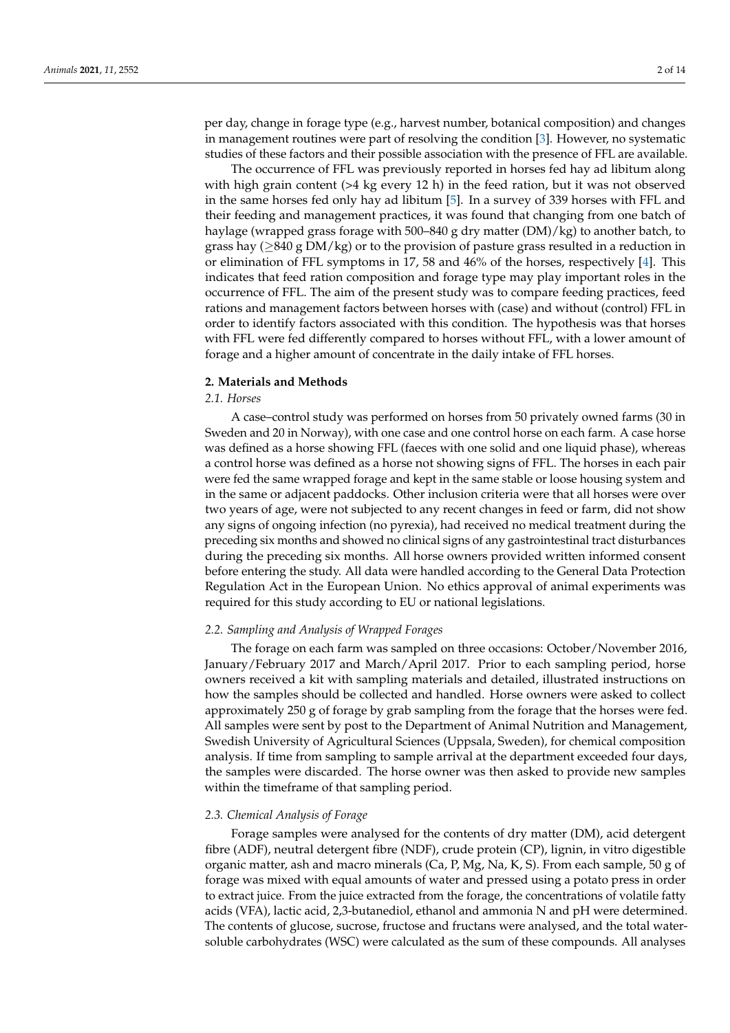per day, change in forage type (e.g., harvest number, botanical composition) and changes in management routines were part of resolving the condition [\[3\]](#page-12-1). However, no systematic studies of these factors and their possible association with the presence of FFL are available.

The occurrence of FFL was previously reported in horses fed hay ad libitum along with high grain content  $(>4 \text{ kg}$  every 12 h) in the feed ration, but it was not observed in the same horses fed only hay ad libitum [\[5\]](#page-12-3). In a survey of 339 horses with FFL and their feeding and management practices, it was found that changing from one batch of haylage (wrapped grass forage with 500–840 g dry matter (DM)/kg) to another batch, to grass hay ( $\geq$ 840 g DM/kg) or to the provision of pasture grass resulted in a reduction in or elimination of FFL symptoms in 17, 58 and 46% of the horses, respectively [\[4\]](#page-12-2). This indicates that feed ration composition and forage type may play important roles in the occurrence of FFL. The aim of the present study was to compare feeding practices, feed rations and management factors between horses with (case) and without (control) FFL in order to identify factors associated with this condition. The hypothesis was that horses with FFL were fed differently compared to horses without FFL, with a lower amount of forage and a higher amount of concentrate in the daily intake of FFL horses.

## **2. Materials and Methods**

# *2.1. Horses*

A case–control study was performed on horses from 50 privately owned farms (30 in Sweden and 20 in Norway), with one case and one control horse on each farm. A case horse was defined as a horse showing FFL (faeces with one solid and one liquid phase), whereas a control horse was defined as a horse not showing signs of FFL. The horses in each pair were fed the same wrapped forage and kept in the same stable or loose housing system and in the same or adjacent paddocks. Other inclusion criteria were that all horses were over two years of age, were not subjected to any recent changes in feed or farm, did not show any signs of ongoing infection (no pyrexia), had received no medical treatment during the preceding six months and showed no clinical signs of any gastrointestinal tract disturbances during the preceding six months. All horse owners provided written informed consent before entering the study. All data were handled according to the General Data Protection Regulation Act in the European Union. No ethics approval of animal experiments was required for this study according to EU or national legislations.

# *2.2. Sampling and Analysis of Wrapped Forages*

The forage on each farm was sampled on three occasions: October/November 2016, January/February 2017 and March/April 2017. Prior to each sampling period, horse owners received a kit with sampling materials and detailed, illustrated instructions on how the samples should be collected and handled. Horse owners were asked to collect approximately 250 g of forage by grab sampling from the forage that the horses were fed. All samples were sent by post to the Department of Animal Nutrition and Management, Swedish University of Agricultural Sciences (Uppsala, Sweden), for chemical composition analysis. If time from sampling to sample arrival at the department exceeded four days, the samples were discarded. The horse owner was then asked to provide new samples within the timeframe of that sampling period.

## *2.3. Chemical Analysis of Forage*

Forage samples were analysed for the contents of dry matter (DM), acid detergent fibre (ADF), neutral detergent fibre (NDF), crude protein (CP), lignin, in vitro digestible organic matter, ash and macro minerals (Ca, P, Mg, Na, K, S). From each sample, 50 g of forage was mixed with equal amounts of water and pressed using a potato press in order to extract juice. From the juice extracted from the forage, the concentrations of volatile fatty acids (VFA), lactic acid, 2,3-butanediol, ethanol and ammonia N and pH were determined. The contents of glucose, sucrose, fructose and fructans were analysed, and the total watersoluble carbohydrates (WSC) were calculated as the sum of these compounds. All analyses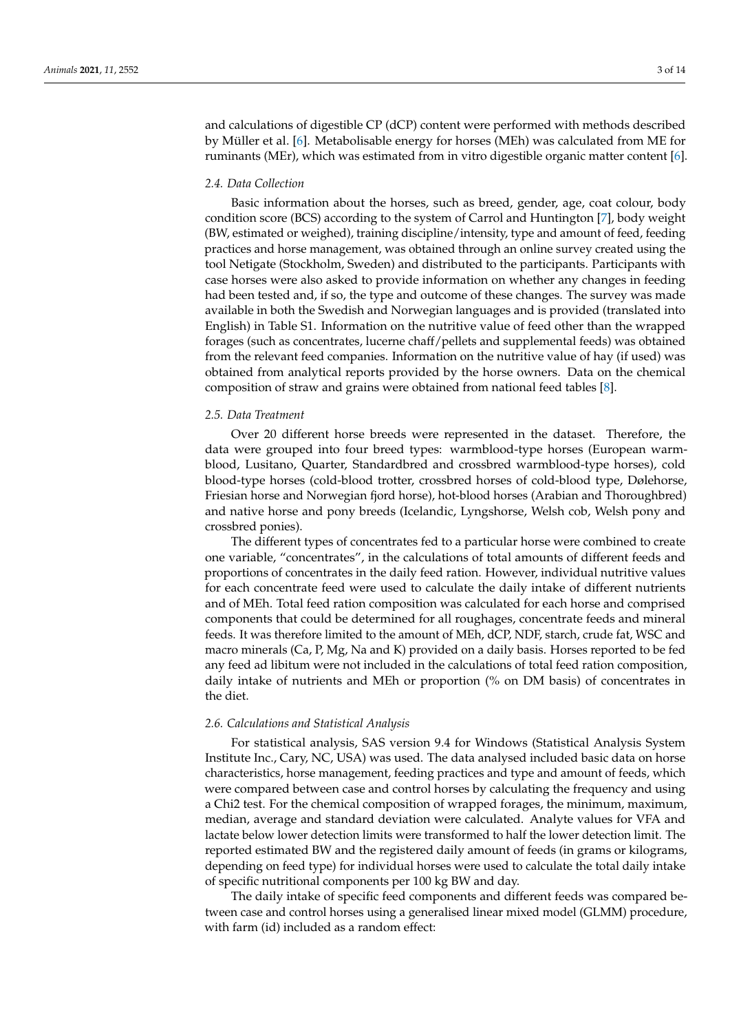and calculations of digestible CP (dCP) content were performed with methods described by Müller et al. [\[6\]](#page-12-4). Metabolisable energy for horses (MEh) was calculated from ME for ruminants (MEr), which was estimated from in vitro digestible organic matter content [\[6\]](#page-12-4).

## *2.4. Data Collection*

Basic information about the horses, such as breed, gender, age, coat colour, body condition score (BCS) according to the system of Carrol and Huntington [\[7\]](#page-12-5), body weight (BW, estimated or weighed), training discipline/intensity, type and amount of feed, feeding practices and horse management, was obtained through an online survey created using the tool Netigate (Stockholm, Sweden) and distributed to the participants. Participants with case horses were also asked to provide information on whether any changes in feeding had been tested and, if so, the type and outcome of these changes. The survey was made available in both the Swedish and Norwegian languages and is provided (translated into English) in Table S1. Information on the nutritive value of feed other than the wrapped forages (such as concentrates, lucerne chaff/pellets and supplemental feeds) was obtained from the relevant feed companies. Information on the nutritive value of hay (if used) was obtained from analytical reports provided by the horse owners. Data on the chemical composition of straw and grains were obtained from national feed tables [\[8\]](#page-12-6).

#### *2.5. Data Treatment*

Over 20 different horse breeds were represented in the dataset. Therefore, the data were grouped into four breed types: warmblood-type horses (European warmblood, Lusitano, Quarter, Standardbred and crossbred warmblood-type horses), cold blood-type horses (cold-blood trotter, crossbred horses of cold-blood type, Dølehorse, Friesian horse and Norwegian fjord horse), hot-blood horses (Arabian and Thoroughbred) and native horse and pony breeds (Icelandic, Lyngshorse, Welsh cob, Welsh pony and crossbred ponies).

The different types of concentrates fed to a particular horse were combined to create one variable, "concentrates", in the calculations of total amounts of different feeds and proportions of concentrates in the daily feed ration. However, individual nutritive values for each concentrate feed were used to calculate the daily intake of different nutrients and of MEh. Total feed ration composition was calculated for each horse and comprised components that could be determined for all roughages, concentrate feeds and mineral feeds. It was therefore limited to the amount of MEh, dCP, NDF, starch, crude fat, WSC and macro minerals (Ca, P, Mg, Na and K) provided on a daily basis. Horses reported to be fed any feed ad libitum were not included in the calculations of total feed ration composition, daily intake of nutrients and MEh or proportion (% on DM basis) of concentrates in the diet.

## *2.6. Calculations and Statistical Analysis*

For statistical analysis, SAS version 9.4 for Windows (Statistical Analysis System Institute Inc., Cary, NC, USA) was used. The data analysed included basic data on horse characteristics, horse management, feeding practices and type and amount of feeds, which were compared between case and control horses by calculating the frequency and using a Chi2 test. For the chemical composition of wrapped forages, the minimum, maximum, median, average and standard deviation were calculated. Analyte values for VFA and lactate below lower detection limits were transformed to half the lower detection limit. The reported estimated BW and the registered daily amount of feeds (in grams or kilograms, depending on feed type) for individual horses were used to calculate the total daily intake of specific nutritional components per 100 kg BW and day.

The daily intake of specific feed components and different feeds was compared between case and control horses using a generalised linear mixed model (GLMM) procedure, with farm (id) included as a random effect: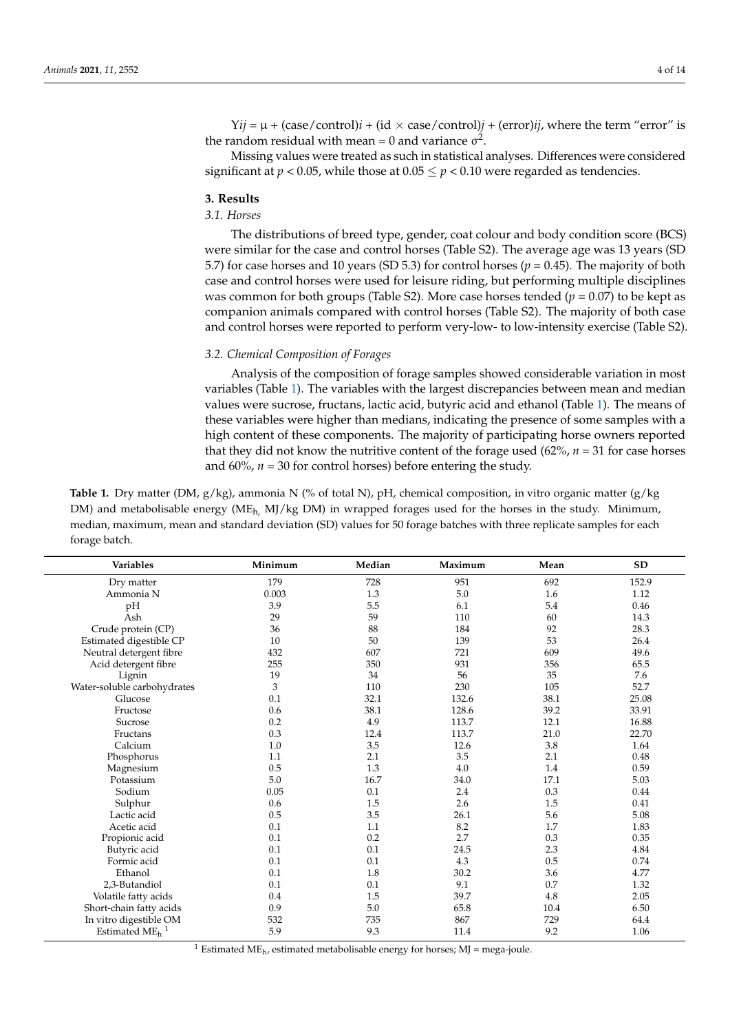$Yij = \mu + (case/control)i + (id \times case/control)j + (error)ij$ , where the term "error" is the random residual with mean = 0 and variance  $\sigma^2$ .

Missing values were treated as such in statistical analyses. Differences were considered significant at  $p < 0.05$ , while those at  $0.05 \le p < 0.10$  were regarded as tendencies.

## **3. Results**

# *3.1. Horses*

The distributions of breed type, gender, coat colour and body condition score (BCS) were similar for the case and control horses (Table S2). The average age was 13 years (SD 5.7) for case horses and 10 years (SD 5.3) for control horses ( $p = 0.45$ ). The majority of both case and control horses were used for leisure riding, but performing multiple disciplines was common for both groups (Table S2). More case horses tended  $(p = 0.07)$  to be kept as companion animals compared with control horses (Table S2). The majority of both case and control horses were reported to perform very-low- to low-intensity exercise (Table S2).

## *3.2. Chemical Composition of Forages*

Analysis of the composition of forage samples showed considerable variation in most variables (Table [1\)](#page-3-0). The variables with the largest discrepancies between mean and median values were sucrose, fructans, lactic acid, butyric acid and ethanol (Table [1\)](#page-3-0). The means of these variables were higher than medians, indicating the presence of some samples with a high content of these components. The majority of participating horse owners reported that they did not know the nutritive content of the forage used  $(62\%, n = 31$  for case horses and  $60\%$ ,  $n = 30$  for control horses) before entering the study.

<span id="page-3-0"></span>**Table 1.** Dry matter (DM, g/kg), ammonia N (% of total N), pH, chemical composition, in vitro organic matter (g/kg DM) and metabolisable energy (ME<sub>h</sub>, MJ/kg DM) in wrapped forages used for the horses in the study. Minimum, median, maximum, mean and standard deviation (SD) values for 50 forage batches with three replicate samples for each forage batch.

| Variables                              | Minimum | Median  | Maximum | Mean | <b>SD</b> |
|----------------------------------------|---------|---------|---------|------|-----------|
| Dry matter                             | 179     | 728     | 951     | 692  | 152.9     |
| Ammonia N                              | 0.003   | 1.3     | 5.0     | 1.6  | 1.12      |
| pH                                     | 3.9     | 5.5     | 6.1     | 5.4  | 0.46      |
| Ash                                    | 29      | 59      | 110     | 60   | 14.3      |
| Crude protein (CP)                     | 36      | 88      | 184     | 92   | 28.3      |
| Estimated digestible CP                | 10      | 50      | 139     | 53   | 26.4      |
| Neutral detergent fibre                | 432     | 607     | 721     | 609  | 49.6      |
| Acid detergent fibre                   | 255     | 350     | 931     | 356  | 65.5      |
| Lignin                                 | 19      | 34      | 56      | 35   | 7.6       |
| Water-soluble carbohydrates            | 3       | 110     | 230     | 105  | 52.7      |
| Glucose                                | 0.1     | 32.1    | 132.6   | 38.1 | 25.08     |
| Fructose                               | 0.6     | 38.1    | 128.6   | 39.2 | 33.91     |
| Sucrose                                | 0.2     | 4.9     | 113.7   | 12.1 | 16.88     |
| Fructans                               | 0.3     | 12.4    | 113.7   | 21.0 | 22.70     |
| Calcium                                | 1.0     | $3.5\,$ | 12.6    | 3.8  | 1.64      |
| Phosphorus                             | 1.1     | 2.1     | 3.5     | 2.1  | 0.48      |
| Magnesium                              | 0.5     | 1.3     | 4.0     | 1.4  | 0.59      |
| Potassium                              | 5.0     | 16.7    | 34.0    | 17.1 | 5.03      |
| Sodium                                 | 0.05    | 0.1     | 2.4     | 0.3  | 0.44      |
| Sulphur                                | 0.6     | 1.5     | 2.6     | 1.5  | 0.41      |
| Lactic acid                            | 0.5     | 3.5     | 26.1    | 5.6  | 5.08      |
| Acetic acid                            | 0.1     | 1.1     | 8.2     | 1.7  | 1.83      |
| Propionic acid                         | 0.1     | 0.2     | 2.7     | 0.3  | 0.35      |
| Butyric acid                           | 0.1     | 0.1     | 24.5    | 2.3  | 4.84      |
| Formic acid                            | 0.1     | 0.1     | 4.3     | 0.5  | 0.74      |
| Ethanol                                | 0.1     | 1.8     | 30.2    | 3.6  | 4.77      |
| 2,3-Butandiol                          | 0.1     | 0.1     | 9.1     | 0.7  | 1.32      |
| Volatile fatty acids                   | 0.4     | 1.5     | 39.7    | 4.8  | 2.05      |
| Short-chain fatty acids                | 0.9     | 5.0     | 65.8    | 10.4 | 6.50      |
| In vitro digestible OM                 | 532     | 735     | 867     | 729  | 64.4      |
| Estimated ME <sub>h</sub> <sup>1</sup> | 5.9     | 9.3     | 11.4    | 9.2  | 1.06      |

<sup>1</sup> Estimated ME<sub>h</sub>, estimated metabolisable energy for horses; MJ = mega-joule.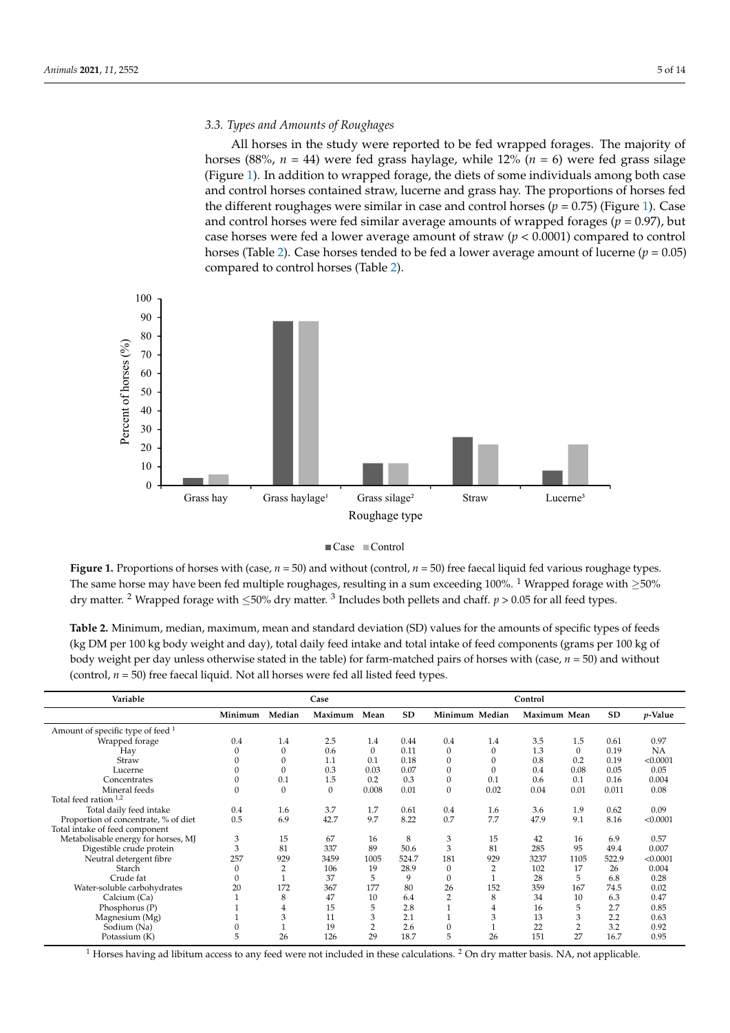# *3.3. Types and Amounts of Roughages 3.3. Types and Amounts of Roughages*

All horses in the study were reported to be fed wrapped forages. The majority of All horses in the study were reported to be fed wrapped forages. The majority of horses (88%,  $n = 44$ ) were fed grass haylage, while 12% ( $n = 6$ ) were fed grass silage (Figure [1\)](#page-4-0). In addition to wrapped forage, the diets of some individuals among both case 1). In addition to wrapped forage, the diets of some individuals among both case and and control horses contained straw, lucerne and grass hay. The proportions of horses fed the different roughages were similar in case and control horses  $(p = 0.75)$  (Figure [1\)](#page-4-0). Case and control horses were fed similar average amounts of wrapped forages ( $p = 0.97$ ), but case horses were fed a lower average amount of straw ( $p < 0.0001$ ) compared to control horses (Table [2\)](#page-4-1). Case horses tended to be fed a lower average amount of lucerne ( $p = 0.05$ ) compared to control horses (Table [2\)](#page-4-1). compared to control horses (Table 2).

<span id="page-4-0"></span>

| Case | Control |
|------|---------|
|------|---------|

The same horse may have been fed multiple roughages, resulting in a sum exceeding 100%. <sup>1</sup> Wrapped forage with  $\geq$ 50%  $t_{\text{av}}$  matter. <sup>2</sup> Wrapped forage with  $\angle 50\%$  dry matter. <sup>3</sup> Includes beth pollets and shaft,  $n > 0.05$  for all food types. dry matter. <sup>2</sup> Wrapped forage with  $\leq$ 50% dry matter. <sup>3</sup> Includes both pellets and chaff. *p* > 0.05 for all feed types. **Figure 1.** Proportions of horses with (case,  $n = 50$ ) and without (control,  $n = 50$ ) free faecal liquid fed various roughage types.

<span id="page-4-1"></span>**Table 2.** Minimum, median, maximum, mean and standard deviation (SD) values for the amounts of specific types of feeds (kg DM per 100 kg body weight and day), total daily feed intake and total intake of feed components (grams per 100 kg of body weight per day unless otherwise stated in the table) for farm-matched pairs of horses with (case, *n* = 50) and without (control,  $n = 50$ ) free faecal liquid. Not all horses were fed all listed feed types.

| Variable                             |                  |              | Case    |                |           |                  |                | Control      |          |       |            |
|--------------------------------------|------------------|--------------|---------|----------------|-----------|------------------|----------------|--------------|----------|-------|------------|
|                                      | Minimum          | Median       | Maximum | Mean           | <b>SD</b> |                  | Minimum Median | Maximum Mean |          | SD    | $p$ -Value |
| Amount of specific type of feed $1$  |                  |              |         |                |           |                  |                |              |          |       |            |
| Wrapped forage                       | 0.4              | 1.4          | 2.5     | 1.4            | 0.44      | 0.4              | 1.4            | 3.5          | 1.5      | 0.61  | 0.97       |
| Hay                                  | $\Omega$         | $\mathbf{0}$ | 0.6     | $\mathbf{0}$   | 0.11      | $\Omega$         | 0              | 1.3          | $\Omega$ | 0.19  | <b>NA</b>  |
| Straw                                | 0                | 0            | 1.1     | 0.1            | 0.18      | $\Omega$         | 0              | 0.8          | 0.2      | 0.19  | < 0.0001   |
| Lucerne                              | 0                | $\Omega$     | 0.3     | 0.03           | 0.07      | $\Omega$         | 0              | 0.4          | 0.08     | 0.05  | 0.05       |
| Concentrates                         | $\mathbf{0}$     | 0.1          | 1.5     | 0.2            | 0.3       | $\boldsymbol{0}$ | 0.1            | 0.6          | 0.1      | 0.16  | 0.004      |
| Mineral feeds                        | $\boldsymbol{0}$ | $\mathbf{0}$ | 0       | 0.008          | 0.01      | $\boldsymbol{0}$ | 0.02           | 0.04         | 0.01     | 0.011 | 0.08       |
| Total feed ration <sup>1,2</sup>     |                  |              |         |                |           |                  |                |              |          |       |            |
| Total daily feed intake              | 0.4              | 1.6          | 3.7     | 1.7            | 0.61      | 0.4              | 1.6            | 3.6          | 1.9      | 0.62  | 0.09       |
| Proportion of concentrate, % of diet | 0.5              | 6.9          | 42.7    | 9.7            | 8.22      | 0.7              | 7.7            | 47.9         | 9.1      | 8.16  | < 0.0001   |
| Total intake of feed component       |                  |              |         |                |           |                  |                |              |          |       |            |
| Metabolisable energy for horses, MJ  | 3                | 15           | 67      | 16             | 8         | 3                | 15             | 42           | 16       | 6.9   | 0.57       |
| Digestible crude protein             | 3                | 81           | 337     | 89             | 50.6      | 3                | 81             | 285          | 95       | 49.4  | 0.007      |
| Neutral detergent fibre              | 257              | 929          | 3459    | 1005           | 524.7     | 181              | 929            | 3237         | 1105     | 522.9 | < 0.0001   |
| Starch                               | $\mathbf{0}$     | 2            | 106     | 19             | 28.9      | $\Omega$         | 2              | 102          | 17       | 26    | 0.004      |
| Crude fat                            | $\mathbf{0}$     |              | 37      | 5              | 9         | $\mathbf{0}$     |                | 28           | 5        | 6.8   | 0.28       |
| Water-soluble carbohydrates          | 20               | 172          | 367     | 177            | 80        | 26               | 152            | 359          | 167      | 74.5  | 0.02       |
| Calcium (Ca)                         |                  | 8            | 47      | 10             | 6.4       | $\overline{2}$   | 8              | 34           | 10       | 6.3   | 0.47       |
| Phosphorus (P)                       |                  | 4            | 15      | 5              | 2.8       |                  | 4              | 16           | 5        | 2.7   | 0.85       |
| Magnesium (Mg)                       |                  | 3            | 11      | 3              | 2.1       |                  | 3              | 13           | 3        | 2.2   | 0.63       |
| Sodium (Na)                          | 0                |              | 19      | $\overline{2}$ | 2.6       | $\Omega$         |                | 22           | 2        | 3.2   | 0.92       |
| Potassium (K)                        | 5                | 26           | 126     | 29             | 18.7      | 5                | 26             | 151          | 27       | 16.7  | 0.95       |

 $1$  Horses having ad libitum access to any feed were not included in these calculations.  $2$  On dry matter basis. NA, not applicable.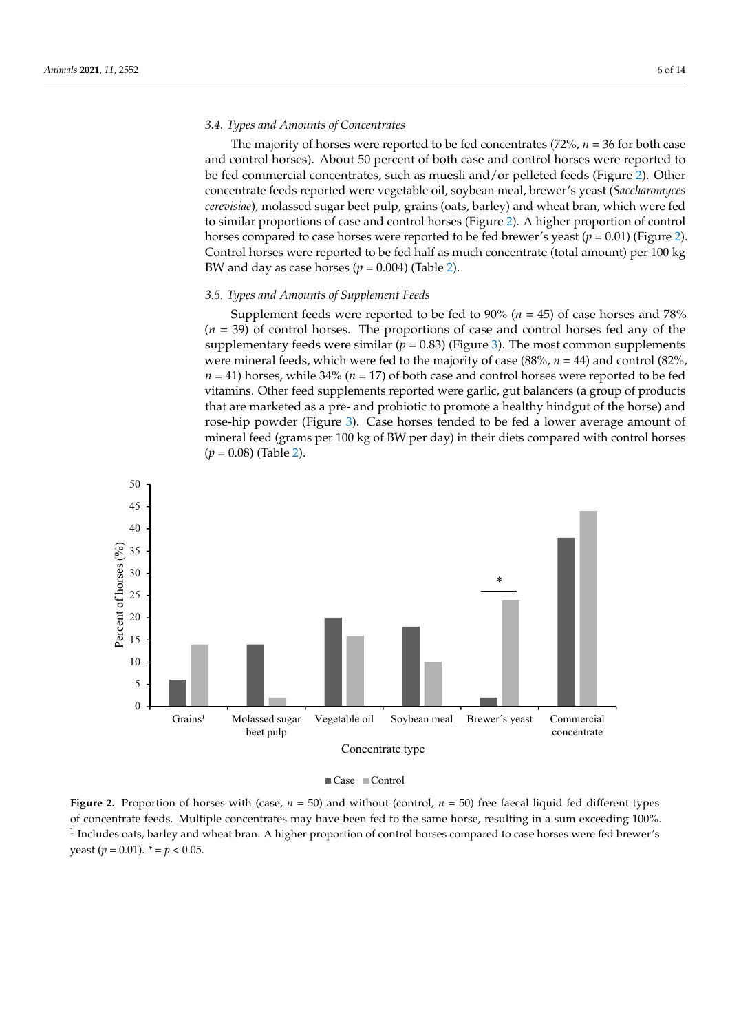## *3.4. Types and Amounts of Concentrates*

The majority of horses were reported to be fed concentrates (72%, *n* = 36 for both case and control horses). About 50 percent of both case and control horses were reported to be fed commercial concentrates, such as muesli and/or pelleted feeds (Figure [2\)](#page-5-0). Other concentrate feeds reported were vegetable oil, soybean meal, brewer's yeast (*Saccharomyces cerevisiae*), molassed sugar beet pulp, grains (oats, barley) and wheat bran, which were fed to similar proportions of case and control horses (Figure [2\)](#page-5-0). A higher proportion of control horses compared to case horses were reported to be fed brewer's yeast  $(p = 0.01)$  (Figure [2\)](#page-5-0). Control horses were reported to be fed half as much concentrate (total amount) per 100 kg BW and day as case horses  $(p = 0.004)$  (Table [2\)](#page-4-1).

#### *3.5. Types and Amounts of Supplement Feeds*

Supplement feeds were reported to be fed to 90% (*n* = 45) of case horses and 78% (*n* = 39) of control horses. The proportions of case and control horses fed any of the supplementary feeds were similar ( $p = 0.83$ ) (Figure [3\)](#page-6-0). The most common supplements were mineral feeds, which were fed to the majority of case (88%, *n* = 44) and control (82%, *n* = 41) horses, while 34% (*n* = 17) of both case and control horses were reported to be fed vitamins. Other feed supplements reported were garlic, gut balancers (a group of products that are marketed as a pre- and probiotic to promote a healthy hindgut of the horse) and rose-hip powder (Figure [3\)](#page-6-0). Case horses tended to be fed a lower average amount of mineral feed (grams per 100 kg of BW per day) in their diets compared with control horses (*p* = 0.08) (Table [2\)](#page-4-1).

<span id="page-5-0"></span>

Case Control

of concentrate feeds. Multiple concentrates may have been fed to the same horse, resulting in a sum exceeding 100%.  $\frac{1}{2}$  Includes eats have a subset hype. A higher proportion of contral horses compared to case horses were fed brown". <sup>1</sup> Includes oats, barley and wheat bran. A higher proportion of control horses compared to case horses were fed brewer's yeast ( $p = 0.01$ ).  $* = p < 0.05$ . **Figure 2.** Proportion of horses with (case,  $n = 50$ ) and without (control,  $n = 50$ ) free faecal liquid fed different types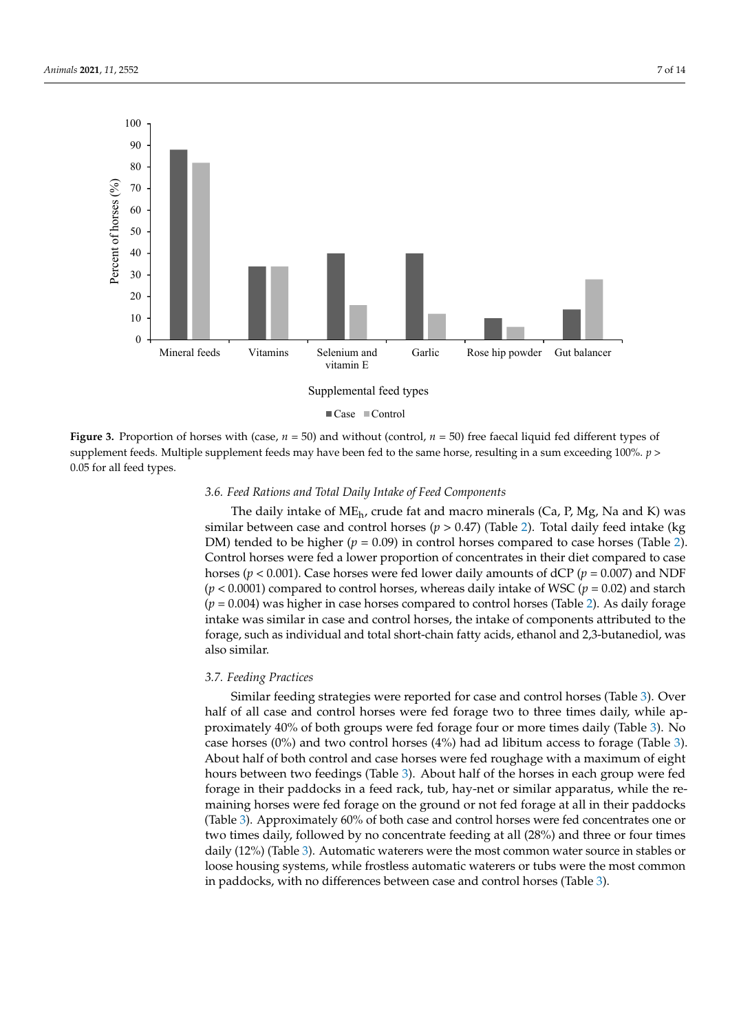<span id="page-6-0"></span>

Case Control

Figure 3. **Proportion** of the strengtheness with (case, *n* = 50) for the stree fact the stree fact the stree fact the stree fact in a sum exceeding 100%  $n >$ supplement feeds. Multiple supplement feeds may have been fed to the same horse, resulting in a sum exceeding 100%.  $p > 0.05$  for all feed to see > 0.05 for all feed types. 0.05 for all feed types. **Figure 3.** Proportion of horses with (case,  $n = 50$ ) and without (control,  $n = 50$ ) free faecal liquid fed different types of

## *3.6. Feed Rations and Total Daily Intake of Feed Components*

The daily intake of ME<sub>h</sub>, crude fat and macro minerals (Ca, P, Mg, Na and K) was similar between case and control horses ( $p > 0.47$ ) (Table [2\)](#page-4-1). Total daily feed intake (kg DM) tended to be higher ( $p = 0.09$ ) in control horses compared to case horses (Table [2\)](#page-4-1). Control horses were fed a lower proportion of concentrates in their diet compared to case horses ( $p < 0.001$ ). Case horses were fed lower daily amounts of dCP ( $p = 0.007$ ) and NDF  $(p < 0.0001)$  compared to control horses, whereas daily intake of WSC ( $p = 0.02$ ) and starch  $(p = 0.004)$  was higher in case horses compared to control horses (Table [2\)](#page-4-1). As daily forage intake was similar in case and control horses, the intake of components attributed to the forage, such as individual and total short-chain fatty acids, ethanol and 2,3-butanediol, was forage, such as individual and total short-chain fatty acids, ethanol and 2,3-butanediol, also similar.

## *3.7. Feeding Practices*

Similar feeding strategies were reported for case and control horses (Table [3\)](#page-7-0). Over half of all case and control horses were fed forage two to three times daily, while ap-proximately 40% of both groups were fed forage four or more times daily (Table [3\)](#page-7-0). No case horses  $(0%)$  and two control horses  $(4%)$  had ad libitum access to forage (Table [3\)](#page-7-0). About half of both control and case horses were fed roughage with a maximum of eight hours between two feedings (Table [3\)](#page-7-0). About half of the horses in each group were fed forage in their paddocks in a feed rack, tub, hay-net or similar apparatus, while the remaining horses were fed forage on the ground or not fed forage at all in their paddocks (Table [3\)](#page-7-0). Approximately 60% of both case and control horses were fed concentrates one or two times daily, followed by no concentrate feeding at all  $(28%)$  and three or four times daily (12%) (Table [3\)](#page-7-0). Automatic waterers were the most common water source in stables or loose housing systems, while frostless automatic waterers or tubs were the most common in stable stables were the most common in paddocks, with no differences between case and control horses (Table [3\)](#page-7-0).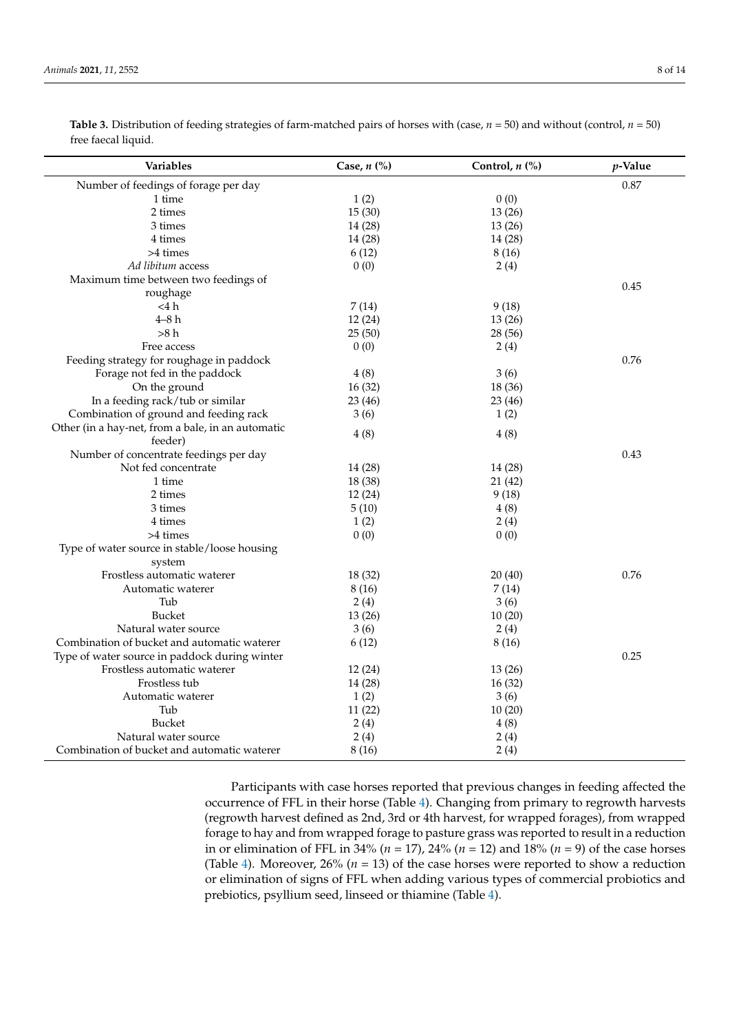| <b>Variables</b>                                  | Case, $n$ $\left(\frac{9}{0}\right)$ | Control, $n$ (%) | $p$ -Value |
|---------------------------------------------------|--------------------------------------|------------------|------------|
| Number of feedings of forage per day              |                                      |                  | 0.87       |
| 1 time                                            | 1(2)                                 | 0(0)             |            |
| 2 times                                           | 15(30)                               | 13(26)           |            |
| 3 times                                           | 14 (28)                              | 13(26)           |            |
| 4 times                                           | 14(28)                               | 14(28)           |            |
| >4 times                                          | 6(12)                                | 8(16)            |            |
| Ad libitum access                                 | 0(0)                                 | 2(4)             |            |
| Maximum time between two feedings of              |                                      |                  | 0.45       |
| roughage                                          |                                      |                  |            |
| $<$ 4 h                                           | 7(14)                                | 9(18)            |            |
| $4 - 8h$                                          | 12(24)                               | 13(26)           |            |
| >8 h                                              | 25(50)                               | 28 (56)          |            |
| Free access                                       | 0(0)                                 | 2(4)             |            |
| Feeding strategy for roughage in paddock          |                                      |                  | 0.76       |
| Forage not fed in the paddock                     | 4(8)                                 | 3(6)             |            |
| On the ground                                     | 16(32)                               | 18 (36)          |            |
| In a feeding rack/tub or similar                  | 23(46)                               | 23(46)           |            |
| Combination of ground and feeding rack            | 3(6)                                 | 1(2)             |            |
| Other (in a hay-net, from a bale, in an automatic |                                      |                  |            |
| feeder)                                           | 4(8)                                 | 4(8)             |            |
| Number of concentrate feedings per day            |                                      |                  | 0.43       |
| Not fed concentrate                               | 14 (28)                              | 14 (28)          |            |
| 1 time                                            | 18 (38)                              | 21 (42)          |            |
| 2 times                                           | 12(24)                               | 9(18)            |            |
| 3 times                                           | 5(10)                                | 4(8)             |            |
| 4 times                                           | 1(2)                                 | 2(4)             |            |
| >4 times                                          | 0(0)                                 | 0(0)             |            |
| Type of water source in stable/loose housing      |                                      |                  |            |
| system                                            |                                      |                  |            |
| Frostless automatic waterer                       | 18 (32)                              | 20(40)           | 0.76       |
| Automatic waterer                                 | 8(16)                                | 7(14)            |            |
| Tub                                               | 2(4)                                 | 3(6)             |            |
| <b>Bucket</b>                                     | 13(26)                               | 10(20)           |            |
| Natural water source                              | 3(6)                                 | 2(4)             |            |
| Combination of bucket and automatic waterer       | 6(12)                                | 8(16)            |            |
| Type of water source in paddock during winter     |                                      |                  | 0.25       |
| Frostless automatic waterer                       | 12(24)                               | 13(26)           |            |
| Frostless tub                                     | 14 (28)                              | 16(32)           |            |
| Automatic waterer                                 | 1(2)                                 | 3(6)             |            |
| Tub                                               | 11(22)                               | 10(20)           |            |
| <b>Bucket</b>                                     | 2(4)                                 | 4(8)             |            |
| Natural water source                              | 2(4)                                 | 2(4)             |            |
| Combination of bucket and automatic waterer       | 8 (16)                               | 2(4)             |            |

<span id="page-7-0"></span>**Table 3.** Distribution of feeding strategies of farm-matched pairs of horses with (case,  $n = 50$ ) and without (control,  $n = 50$ ) free faecal liquid.

> Participants with case horses reported that previous changes in feeding affected the occurrence of FFL in their horse (Table [4\)](#page-8-0). Changing from primary to regrowth harvests (regrowth harvest defined as 2nd, 3rd or 4th harvest, for wrapped forages), from wrapped forage to hay and from wrapped forage to pasture grass was reported to result in a reduction in or elimination of FFL in 34% (*n* = 17), 24% (*n* = 12) and 18% (*n* = 9) of the case horses (Table [4\)](#page-8-0). Moreover,  $26\%$  ( $n = 13$ ) of the case horses were reported to show a reduction or elimination of signs of FFL when adding various types of commercial probiotics and prebiotics, psyllium seed, linseed or thiamine (Table [4\)](#page-8-0).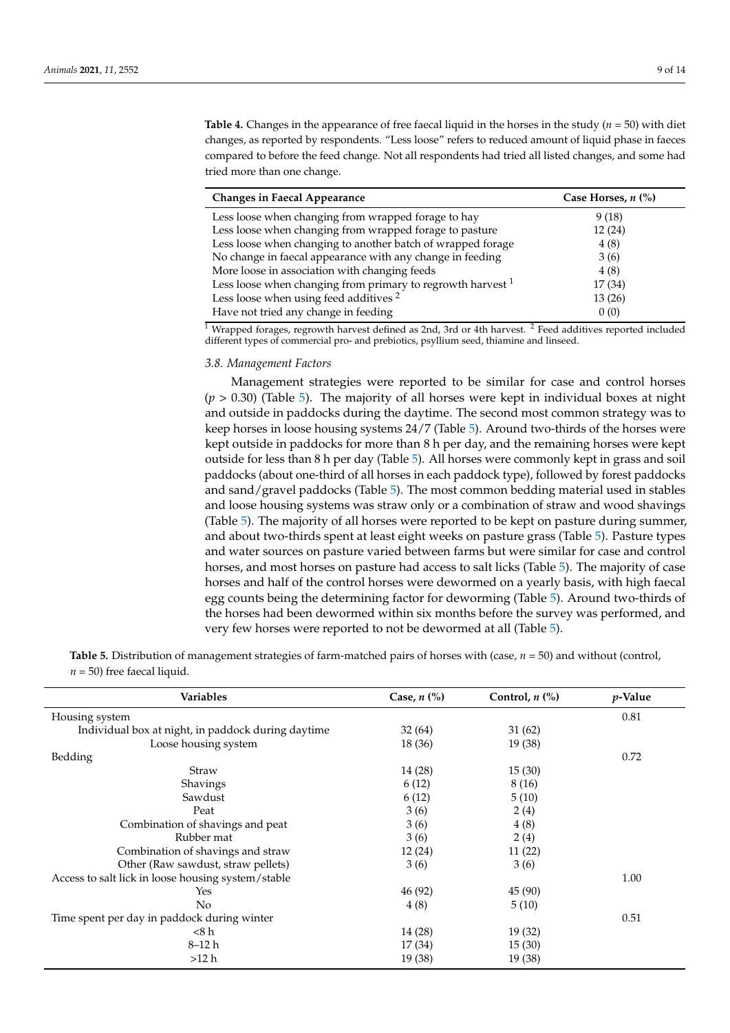<span id="page-8-0"></span>**Table 4.** Changes in the appearance of free faecal liquid in the horses in the study (*n* = 50) with diet changes, as reported by respondents. "Less loose" refers to reduced amount of liquid phase in faeces compared to before the feed change. Not all respondents had tried all listed changes, and some had tried more than one change.

| <b>Changes in Faecal Appearance</b>                           | Case Horses, $n$ $\left(\% \right)$ |
|---------------------------------------------------------------|-------------------------------------|
| Less loose when changing from wrapped forage to hay           | 9(18)                               |
| Less loose when changing from wrapped forage to pasture       | 12(24)                              |
| Less loose when changing to another batch of wrapped forage   | 4(8)                                |
| No change in faecal appearance with any change in feeding     | 3(6)                                |
| More loose in association with changing feeds                 | 4(8)                                |
| Less loose when changing from primary to regrowth harvest $1$ | 17 (34)                             |
| Less loose when using feed additives <sup>2</sup>             | 13(26)                              |
| Have not tried any change in feeding                          | 0(0)                                |

<sup>1</sup> Wrapped forages, regrowth harvest defined as 2nd, 3rd or 4th harvest. <sup>2</sup> Feed additives reported included different types of commercial pro- and prebiotics, psyllium seed, thiamine and linseed.

#### *3.8. Management Factors*

Management strategies were reported to be similar for case and control horses  $(p > 0.30)$  (Table [5\)](#page-8-1). The majority of all horses were kept in individual boxes at night and outside in paddocks during the daytime. The second most common strategy was to keep horses in loose housing systems 24/7 (Table [5\)](#page-8-1). Around two-thirds of the horses were kept outside in paddocks for more than 8 h per day, and the remaining horses were kept outside for less than 8 h per day (Table [5\)](#page-8-1). All horses were commonly kept in grass and soil paddocks (about one-third of all horses in each paddock type), followed by forest paddocks and sand/gravel paddocks (Table [5\)](#page-8-1). The most common bedding material used in stables and loose housing systems was straw only or a combination of straw and wood shavings (Table [5\)](#page-8-1). The majority of all horses were reported to be kept on pasture during summer, and about two-thirds spent at least eight weeks on pasture grass (Table [5\)](#page-8-1). Pasture types and water sources on pasture varied between farms but were similar for case and control horses, and most horses on pasture had access to salt licks (Table [5\)](#page-8-1). The majority of case horses and half of the control horses were dewormed on a yearly basis, with high faecal egg counts being the determining factor for deworming (Table [5\)](#page-8-1). Around two-thirds of the horses had been dewormed within six months before the survey was performed, and very few horses were reported to not be dewormed at all (Table [5\)](#page-8-1).

<span id="page-8-1"></span>

| Table 5. Distribution of management strategies of farm-matched pairs of horses with (case, $n = 50$ ) and without (control |  |
|----------------------------------------------------------------------------------------------------------------------------|--|
| $n = 50$ ) free faecal liquid.                                                                                             |  |

| <b>Variables</b>                                   | Case, $n$ $\left(\% \right)$ | Control, $n$ $\left(\frac{9}{6}\right)$ | <i>p</i> -Value |
|----------------------------------------------------|------------------------------|-----------------------------------------|-----------------|
| Housing system                                     |                              |                                         | 0.81            |
| Individual box at night, in paddock during daytime | 32(64)                       | 31(62)                                  |                 |
| Loose housing system                               | 18(36)                       | 19 (38)                                 |                 |
| Bedding                                            |                              |                                         | 0.72            |
| Straw                                              | 14 (28)                      | 15(30)                                  |                 |
| Shavings                                           | 6(12)                        | 8(16)                                   |                 |
| Sawdust                                            | 6(12)                        | 5(10)                                   |                 |
| Peat                                               | 3(6)                         | 2(4)                                    |                 |
| Combination of shavings and peat                   | 3(6)                         | 4(8)                                    |                 |
| Rubber mat                                         | 3(6)                         | 2(4)                                    |                 |
| Combination of shavings and straw                  | 12(24)                       | 11(22)                                  |                 |
| Other (Raw sawdust, straw pellets)                 | 3(6)                         | 3(6)                                    |                 |
| Access to salt lick in loose housing system/stable |                              |                                         | 1.00            |
| Yes                                                | 46 (92)                      | 45 (90)                                 |                 |
| No                                                 | 4(8)                         | 5(10)                                   |                 |
| Time spent per day in paddock during winter        |                              |                                         | 0.51            |
| $<$ 8 h                                            | 14 (28)                      | 19 (32)                                 |                 |
| $8 - 12h$                                          | 17(34)                       | 15(30)                                  |                 |
| >12 h                                              | 19 (38)                      | 19 (38)                                 |                 |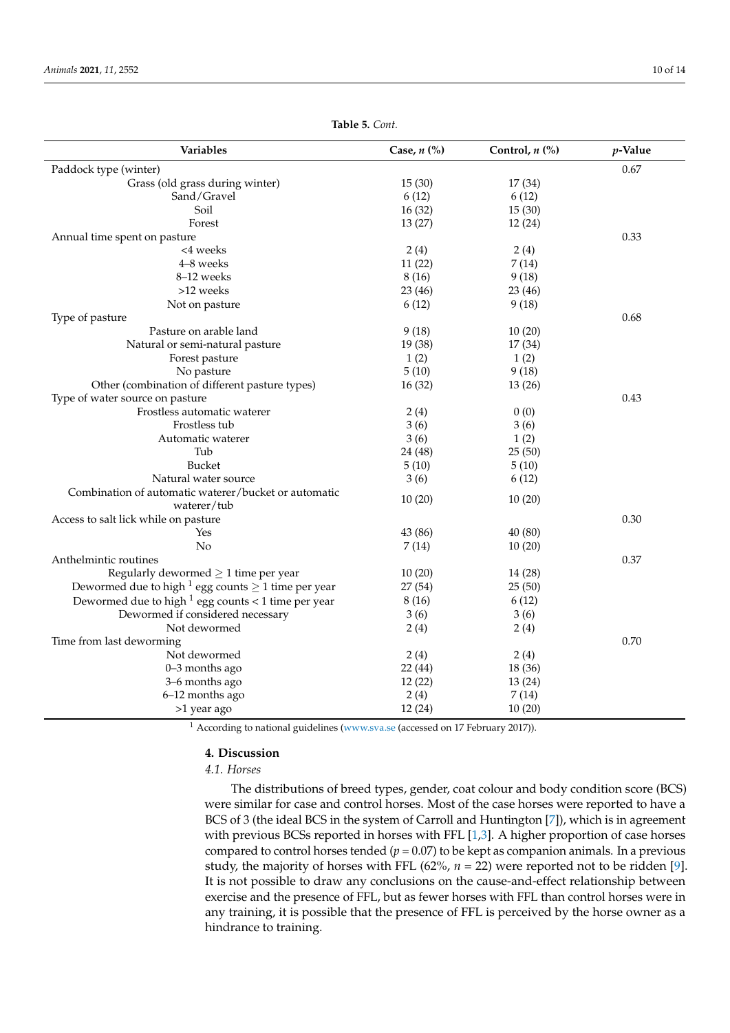| Variables<br>Case, $n$ (%)                                                     | Control, $n$ (%) | $p$ -Value |
|--------------------------------------------------------------------------------|------------------|------------|
| Paddock type (winter)                                                          |                  | 0.67       |
| Grass (old grass during winter)<br>15(30)                                      | 17 (34)          |            |
| Sand/Gravel<br>6(12)                                                           | 6(12)            |            |
| Soil<br>16(32)                                                                 | 15(30)           |            |
| Forest<br>13(27)                                                               | 12(24)           |            |
| Annual time spent on pasture                                                   |                  | 0.33       |
| <4 weeks<br>2(4)                                                               | 2(4)             |            |
| 4-8 weeks<br>11(22)                                                            | 7(14)            |            |
| 8-12 weeks<br>8(16)                                                            | 9(18)            |            |
| >12 weeks<br>23(46)                                                            | 23 (46)          |            |
| 6(12)<br>Not on pasture                                                        | 9(18)            |            |
| Type of pasture                                                                |                  | 0.68       |
| Pasture on arable land<br>9(18)                                                | 10(20)           |            |
| Natural or semi-natural pasture<br>19 (38)                                     | 17(34)           |            |
| 1(2)<br>Forest pasture                                                         | 1(2)             |            |
| No pasture<br>5(10)                                                            | 9(18)            |            |
| Other (combination of different pasture types)<br>16(32)                       | 13(26)           |            |
| Type of water source on pasture                                                |                  | 0.43       |
| Frostless automatic waterer<br>2(4)                                            | 0(0)             |            |
| Frostless tub<br>3(6)                                                          | 3(6)             |            |
| 3(6)<br>Automatic waterer                                                      | 1(2)             |            |
| Tub<br>24 (48)                                                                 | 25(50)           |            |
| <b>Bucket</b><br>5(10)                                                         | 5(10)            |            |
| Natural water source<br>3(6)                                                   | 6(12)            |            |
| Combination of automatic waterer/bucket or automatic<br>10(20)<br>waterer/tub  | 10(20)           |            |
| Access to salt lick while on pasture                                           |                  | 0.30       |
| Yes<br>43 (86)                                                                 | 40 (80)          |            |
| No<br>7(14)                                                                    | 10(20)           |            |
| Anthelmintic routines                                                          |                  | 0.37       |
| Regularly dewormed $\geq 1$ time per year<br>10(20)                            | 14 (28)          |            |
| Dewormed due to high <sup>1</sup> egg counts $\geq$ 1 time per year<br>27 (54) | 25(50)           |            |
| Dewormed due to high $1$ egg counts < 1 time per year<br>8(16)                 | 6(12)            |            |
| Dewormed if considered necessary<br>3(6)                                       | 3(6)             |            |
| 2(4)<br>Not dewormed                                                           | 2(4)             |            |
| Time from last deworming                                                       |                  | 0.70       |
| Not dewormed<br>2(4)                                                           | 2(4)             |            |
| 0-3 months ago<br>22(44)                                                       | 18 (36)          |            |
| 3-6 months ago<br>12(22)                                                       | 13(24)           |            |
| 2(4)<br>6-12 months ago                                                        | 7(14)            |            |
| 12(24)<br>>1 year ago                                                          | 10(20)           |            |

**Table 5.** *Cont.*

<sup>1</sup> According to national guidelines [\(www.sva.se](www.sva.se) (accessed on 17 February 2017)).

## **4. Discussion**

*4.1. Horses*

The distributions of breed types, gender, coat colour and body condition score (BCS) were similar for case and control horses. Most of the case horses were reported to have a BCS of 3 (the ideal BCS in the system of Carroll and Huntington [\[7\]](#page-12-5)), which is in agreement with previous BCSs reported in horses with FFL [\[1](#page-12-0)[,3\]](#page-12-1). A higher proportion of case horses compared to control horses tended ( $p = 0.07$ ) to be kept as companion animals. In a previous study, the majority of horses with FFL  $(62\%, n = 22)$  were reported not to be ridden [\[9\]](#page-13-0). It is not possible to draw any conclusions on the cause-and-effect relationship between exercise and the presence of FFL, but as fewer horses with FFL than control horses were in any training, it is possible that the presence of FFL is perceived by the horse owner as a hindrance to training.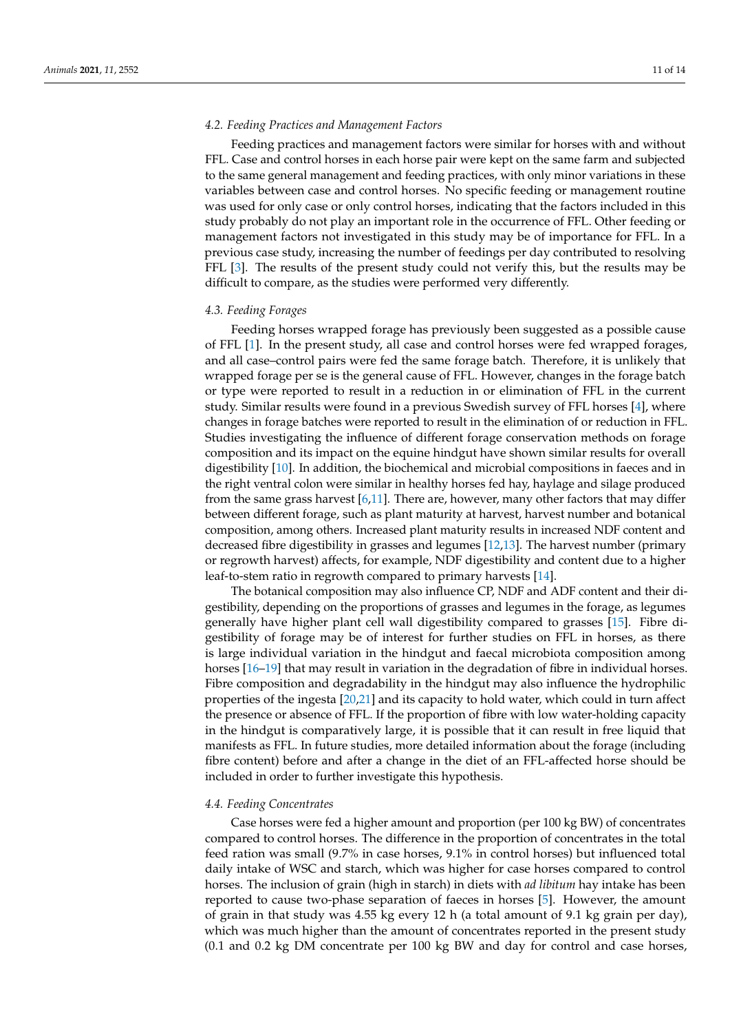#### *4.2. Feeding Practices and Management Factors*

Feeding practices and management factors were similar for horses with and without FFL. Case and control horses in each horse pair were kept on the same farm and subjected to the same general management and feeding practices, with only minor variations in these variables between case and control horses. No specific feeding or management routine was used for only case or only control horses, indicating that the factors included in this study probably do not play an important role in the occurrence of FFL. Other feeding or management factors not investigated in this study may be of importance for FFL. In a previous case study, increasing the number of feedings per day contributed to resolving FFL [\[3\]](#page-12-1). The results of the present study could not verify this, but the results may be difficult to compare, as the studies were performed very differently.

## *4.3. Feeding Forages*

Feeding horses wrapped forage has previously been suggested as a possible cause of FFL [\[1\]](#page-12-0). In the present study, all case and control horses were fed wrapped forages, and all case–control pairs were fed the same forage batch. Therefore, it is unlikely that wrapped forage per se is the general cause of FFL. However, changes in the forage batch or type were reported to result in a reduction in or elimination of FFL in the current study. Similar results were found in a previous Swedish survey of FFL horses [\[4\]](#page-12-2), where changes in forage batches were reported to result in the elimination of or reduction in FFL. Studies investigating the influence of different forage conservation methods on forage composition and its impact on the equine hindgut have shown similar results for overall digestibility [\[10\]](#page-13-1). In addition, the biochemical and microbial compositions in faeces and in the right ventral colon were similar in healthy horses fed hay, haylage and silage produced from the same grass harvest  $[6,11]$  $[6,11]$ . There are, however, many other factors that may differ between different forage, such as plant maturity at harvest, harvest number and botanical composition, among others. Increased plant maturity results in increased NDF content and decreased fibre digestibility in grasses and legumes [\[12](#page-13-3)[,13\]](#page-13-4). The harvest number (primary or regrowth harvest) affects, for example, NDF digestibility and content due to a higher leaf-to-stem ratio in regrowth compared to primary harvests [\[14\]](#page-13-5).

The botanical composition may also influence CP, NDF and ADF content and their digestibility, depending on the proportions of grasses and legumes in the forage, as legumes generally have higher plant cell wall digestibility compared to grasses [\[15\]](#page-13-6). Fibre digestibility of forage may be of interest for further studies on FFL in horses, as there is large individual variation in the hindgut and faecal microbiota composition among horses [\[16](#page-13-7)[–19\]](#page-13-8) that may result in variation in the degradation of fibre in individual horses. Fibre composition and degradability in the hindgut may also influence the hydrophilic properties of the ingesta [\[20](#page-13-9)[,21\]](#page-13-10) and its capacity to hold water, which could in turn affect the presence or absence of FFL. If the proportion of fibre with low water-holding capacity in the hindgut is comparatively large, it is possible that it can result in free liquid that manifests as FFL. In future studies, more detailed information about the forage (including fibre content) before and after a change in the diet of an FFL-affected horse should be included in order to further investigate this hypothesis.

#### *4.4. Feeding Concentrates*

Case horses were fed a higher amount and proportion (per 100 kg BW) of concentrates compared to control horses. The difference in the proportion of concentrates in the total feed ration was small (9.7% in case horses, 9.1% in control horses) but influenced total daily intake of WSC and starch, which was higher for case horses compared to control horses. The inclusion of grain (high in starch) in diets with *ad libitum* hay intake has been reported to cause two-phase separation of faeces in horses [\[5\]](#page-12-3). However, the amount of grain in that study was 4.55 kg every 12 h (a total amount of 9.1 kg grain per day), which was much higher than the amount of concentrates reported in the present study (0.1 and 0.2 kg DM concentrate per 100 kg BW and day for control and case horses,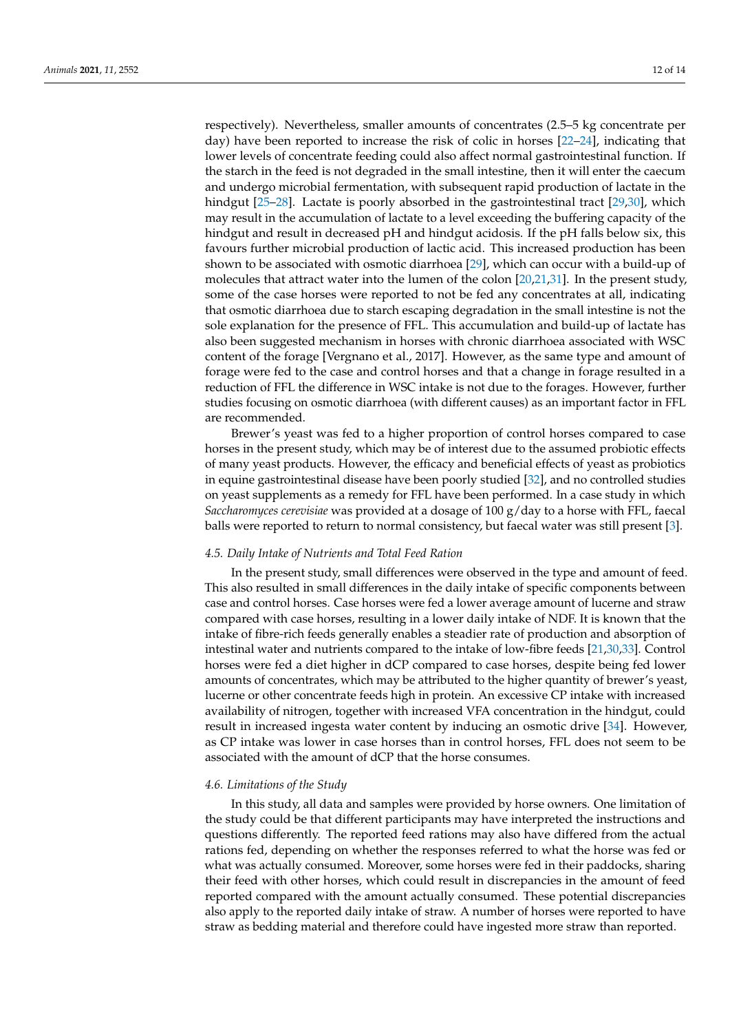respectively). Nevertheless, smaller amounts of concentrates (2.5–5 kg concentrate per day) have been reported to increase the risk of colic in horses [\[22](#page-13-11)[–24\]](#page-13-12), indicating that lower levels of concentrate feeding could also affect normal gastrointestinal function. If the starch in the feed is not degraded in the small intestine, then it will enter the caecum and undergo microbial fermentation, with subsequent rapid production of lactate in the hindgut [\[25](#page-13-13)[–28\]](#page-13-14). Lactate is poorly absorbed in the gastrointestinal tract [\[29,](#page-13-15)[30\]](#page-13-16), which may result in the accumulation of lactate to a level exceeding the buffering capacity of the hindgut and result in decreased pH and hindgut acidosis. If the pH falls below six, this favours further microbial production of lactic acid. This increased production has been shown to be associated with osmotic diarrhoea [\[29\]](#page-13-15), which can occur with a build-up of molecules that attract water into the lumen of the colon [\[20,](#page-13-9)[21,](#page-13-10)[31\]](#page-13-17). In the present study, some of the case horses were reported to not be fed any concentrates at all, indicating that osmotic diarrhoea due to starch escaping degradation in the small intestine is not the sole explanation for the presence of FFL. This accumulation and build-up of lactate has also been suggested mechanism in horses with chronic diarrhoea associated with WSC content of the forage [Vergnano et al., 2017]. However, as the same type and amount of forage were fed to the case and control horses and that a change in forage resulted in a reduction of FFL the difference in WSC intake is not due to the forages. However, further studies focusing on osmotic diarrhoea (with different causes) as an important factor in FFL are recommended.

Brewer's yeast was fed to a higher proportion of control horses compared to case horses in the present study, which may be of interest due to the assumed probiotic effects of many yeast products. However, the efficacy and beneficial effects of yeast as probiotics in equine gastrointestinal disease have been poorly studied [\[32\]](#page-13-18), and no controlled studies on yeast supplements as a remedy for FFL have been performed. In a case study in which *Saccharomyces cerevisiae* was provided at a dosage of 100 g/day to a horse with FFL, faecal balls were reported to return to normal consistency, but faecal water was still present [\[3\]](#page-12-1).

## *4.5. Daily Intake of Nutrients and Total Feed Ration*

In the present study, small differences were observed in the type and amount of feed. This also resulted in small differences in the daily intake of specific components between case and control horses. Case horses were fed a lower average amount of lucerne and straw compared with case horses, resulting in a lower daily intake of NDF. It is known that the intake of fibre-rich feeds generally enables a steadier rate of production and absorption of intestinal water and nutrients compared to the intake of low-fibre feeds [\[21](#page-13-10)[,30](#page-13-16)[,33\]](#page-13-19). Control horses were fed a diet higher in dCP compared to case horses, despite being fed lower amounts of concentrates, which may be attributed to the higher quantity of brewer's yeast, lucerne or other concentrate feeds high in protein. An excessive CP intake with increased availability of nitrogen, together with increased VFA concentration in the hindgut, could result in increased ingesta water content by inducing an osmotic drive [\[34\]](#page-13-20). However, as CP intake was lower in case horses than in control horses, FFL does not seem to be associated with the amount of dCP that the horse consumes.

## *4.6. Limitations of the Study*

In this study, all data and samples were provided by horse owners. One limitation of the study could be that different participants may have interpreted the instructions and questions differently. The reported feed rations may also have differed from the actual rations fed, depending on whether the responses referred to what the horse was fed or what was actually consumed. Moreover, some horses were fed in their paddocks, sharing their feed with other horses, which could result in discrepancies in the amount of feed reported compared with the amount actually consumed. These potential discrepancies also apply to the reported daily intake of straw. A number of horses were reported to have straw as bedding material and therefore could have ingested more straw than reported.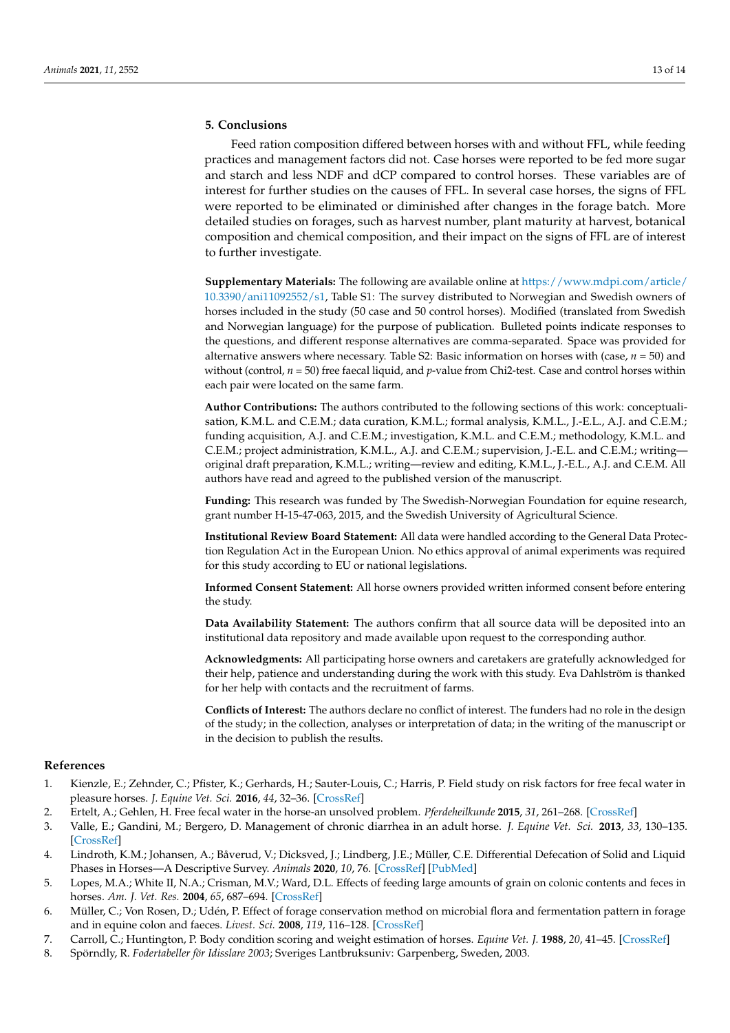# **5. Conclusions**

Feed ration composition differed between horses with and without FFL, while feeding practices and management factors did not. Case horses were reported to be fed more sugar and starch and less NDF and dCP compared to control horses. These variables are of interest for further studies on the causes of FFL. In several case horses, the signs of FFL were reported to be eliminated or diminished after changes in the forage batch. More detailed studies on forages, such as harvest number, plant maturity at harvest, botanical composition and chemical composition, and their impact on the signs of FFL are of interest to further investigate.

**Supplementary Materials:** The following are available online at [https://www.mdpi.com/article/](https://www.mdpi.com/article/10.3390/ani11092552/s1) [10.3390/ani11092552/s1,](https://www.mdpi.com/article/10.3390/ani11092552/s1) Table S1: The survey distributed to Norwegian and Swedish owners of horses included in the study (50 case and 50 control horses). Modified (translated from Swedish and Norwegian language) for the purpose of publication. Bulleted points indicate responses to the questions, and different response alternatives are comma-separated. Space was provided for alternative answers where necessary. Table S2: Basic information on horses with (case, *n* = 50) and without (control,  $n = 50$ ) free faecal liquid, and *p*-value from Chi2-test. Case and control horses within each pair were located on the same farm.

**Author Contributions:** The authors contributed to the following sections of this work: conceptualisation, K.M.L. and C.E.M.; data curation, K.M.L.; formal analysis, K.M.L., J.-E.L., A.J. and C.E.M.; funding acquisition, A.J. and C.E.M.; investigation, K.M.L. and C.E.M.; methodology, K.M.L. and C.E.M.; project administration, K.M.L., A.J. and C.E.M.; supervision, J.-E.L. and C.E.M.; writing original draft preparation, K.M.L.; writing—review and editing, K.M.L., J.-E.L., A.J. and C.E.M. All authors have read and agreed to the published version of the manuscript.

**Funding:** This research was funded by The Swedish-Norwegian Foundation for equine research, grant number H-15-47-063, 2015, and the Swedish University of Agricultural Science.

**Institutional Review Board Statement:** All data were handled according to the General Data Protection Regulation Act in the European Union. No ethics approval of animal experiments was required for this study according to EU or national legislations.

**Informed Consent Statement:** All horse owners provided written informed consent before entering the study.

**Data Availability Statement:** The authors confirm that all source data will be deposited into an institutional data repository and made available upon request to the corresponding author.

**Acknowledgments:** All participating horse owners and caretakers are gratefully acknowledged for their help, patience and understanding during the work with this study. Eva Dahlström is thanked for her help with contacts and the recruitment of farms.

**Conflicts of Interest:** The authors declare no conflict of interest. The funders had no role in the design of the study; in the collection, analyses or interpretation of data; in the writing of the manuscript or in the decision to publish the results.

## **References**

- <span id="page-12-0"></span>1. Kienzle, E.; Zehnder, C.; Pfister, K.; Gerhards, H.; Sauter-Louis, C.; Harris, P. Field study on risk factors for free fecal water in pleasure horses. *J. Equine Vet. Sci.* **2016**, *44*, 32–36. [\[CrossRef\]](http://doi.org/10.1016/j.jevs.2016.04.098)
- 2. Ertelt, A.; Gehlen, H. Free fecal water in the horse-an unsolved problem. *Pferdeheilkunde* **2015**, *31*, 261–268. [\[CrossRef\]](http://doi.org/10.21836/PEM20150308)
- <span id="page-12-1"></span>3. Valle, E.; Gandini, M.; Bergero, D. Management of chronic diarrhea in an adult horse. *J. Equine Vet. Sci.* **2013**, *33*, 130–135. [\[CrossRef\]](http://doi.org/10.1016/j.jevs.2012.05.061)
- <span id="page-12-2"></span>4. Lindroth, K.M.; Johansen, A.; Båverud, V.; Dicksved, J.; Lindberg, J.E.; Müller, C.E. Differential Defecation of Solid and Liquid Phases in Horses—A Descriptive Survey. *Animals* **2020**, *10*, 76. [\[CrossRef\]](http://doi.org/10.3390/ani10010076) [\[PubMed\]](http://www.ncbi.nlm.nih.gov/pubmed/31906279)
- <span id="page-12-3"></span>5. Lopes, M.A.; White II, N.A.; Crisman, M.V.; Ward, D.L. Effects of feeding large amounts of grain on colonic contents and feces in horses. *Am. J. Vet. Res.* **2004**, *65*, 687–694. [\[CrossRef\]](http://doi.org/10.2460/ajvr.2004.65.687)
- <span id="page-12-4"></span>6. Müller, C.; Von Rosen, D.; Udén, P. Effect of forage conservation method on microbial flora and fermentation pattern in forage and in equine colon and faeces. *Livest. Sci.* **2008**, *119*, 116–128. [\[CrossRef\]](http://doi.org/10.1016/j.livsci.2008.03.007)
- <span id="page-12-5"></span>7. Carroll, C.; Huntington, P. Body condition scoring and weight estimation of horses. *Equine Vet. J.* **1988**, *20*, 41–45. [\[CrossRef\]](http://doi.org/10.1111/j.2042-3306.1988.tb01451.x)
- <span id="page-12-6"></span>8. Spörndly, R. *Fodertabeller för Idisslare 2003*; Sveriges Lantbruksuniv: Garpenberg, Sweden, 2003.